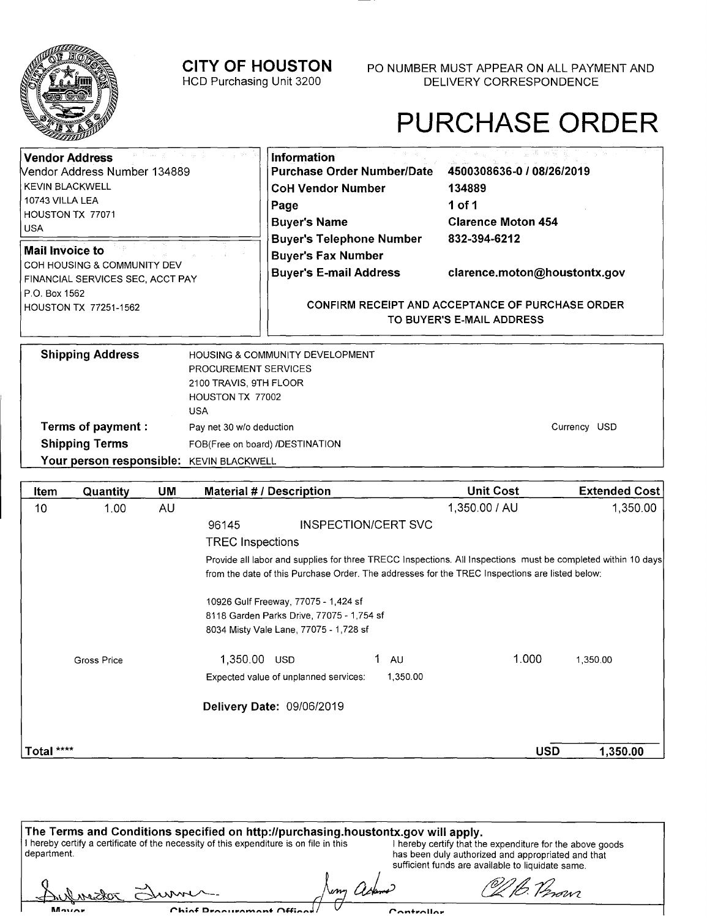Pay net 30 w/o deduction

### HCD Purchasing Unit 3200 DELIVERY CORRESPONDENCE **CITY OF HOUSTON** P0 NUMBER MUST APPEAR ON ALL PAYMENT AND

# PURCHASE ORDER

Currency USD

| <b>Vendor Address</b><br>Nendor Address Number 134889<br><b>KEVIN BLACKWELL</b><br>10743 VILLA LEA<br>HOUSTON TX 77071<br><b>USA</b><br><b>Mail Invoice to</b><br>COH HOUSING & COMMUNITY DEV<br>FINANCIAL SERVICES SEC, ACCT PAY<br>P.O. Box 1562<br><b>HOUSTON TX 77251-1562</b> |                                                                                  | Information<br><b>Purchase Order Number/Date</b><br><b>CoH Vendor Number</b><br>Page<br><b>Buyer's Name</b><br><b>Buyer's Telephone Number</b><br><b>Buyer's Fax Number</b><br><b>Buyer's E-mail Address</b> | 4500308636-0 / 08/26/2019<br>134889<br>1 of 1<br><b>Clarence Moton 454</b><br>832-394-6212<br>clarence.moton@houstontx.gov<br><b>CONFIRM RECEIPT AND ACCEPTANCE OF PURCHASE ORDER</b><br>TO BUYER'S E-MAIL ADDRESS |
|------------------------------------------------------------------------------------------------------------------------------------------------------------------------------------------------------------------------------------------------------------------------------------|----------------------------------------------------------------------------------|--------------------------------------------------------------------------------------------------------------------------------------------------------------------------------------------------------------|--------------------------------------------------------------------------------------------------------------------------------------------------------------------------------------------------------------------|
| <b>Shipping Address</b>                                                                                                                                                                                                                                                            | PROCUREMENT SERVICES<br>2100 TRAVIS, 9TH FLOOR<br>HOUSTON TX 77002<br><b>USA</b> | HOUSING & COMMUNITY DEVELOPMENT                                                                                                                                                                              |                                                                                                                                                                                                                    |

FOB(Free on board) /DESTINATION **Shipping Terms**  Your person responsible: **KEVIN BLACKWELL** 

**Terms of payment:** 

f

Movier

| Item       | Quantity    | UM | <b>Material # / Description</b>        |                                           | <b>Unit Cost</b>                                                                                                                                                                                               |            | <b>Extended Cost</b> |
|------------|-------------|----|----------------------------------------|-------------------------------------------|----------------------------------------------------------------------------------------------------------------------------------------------------------------------------------------------------------------|------------|----------------------|
| 10         | 1.00        | AU |                                        |                                           | 1,350.00 / AU                                                                                                                                                                                                  |            | 1,350.00             |
|            |             |    | 96145                                  | INSPECTION/CERT SVC                       |                                                                                                                                                                                                                |            |                      |
|            |             |    | <b>TREC Inspections</b>                |                                           |                                                                                                                                                                                                                |            |                      |
|            |             |    |                                        |                                           | Provide all labor and supplies for three TRECC Inspections. All Inspections must be completed within 10 days<br>from the date of this Purchase Order. The addresses for the TREC Inspections are listed below: |            |                      |
|            |             |    | 10926 Gulf Freeway, 77075 - 1,424 sf   |                                           |                                                                                                                                                                                                                |            |                      |
|            |             |    |                                        | 8118 Garden Parks Drive, 77075 - 1,754 sf |                                                                                                                                                                                                                |            |                      |
|            |             |    | 8034 Misty Vale Lane, 77075 - 1,728 sf |                                           |                                                                                                                                                                                                                |            |                      |
|            | Gross Price |    | 1,350.00 USD                           |                                           | <b>AU</b>                                                                                                                                                                                                      | 1.000      | 1,350,00             |
|            |             |    | Expected value of unplanned services:  |                                           | 1,350.00                                                                                                                                                                                                       |            |                      |
|            |             |    | Delivery Date: 09/06/2019              |                                           |                                                                                                                                                                                                                |            |                      |
| Total **** |             |    |                                        |                                           |                                                                                                                                                                                                                | <b>USD</b> | 1,350.00             |

| The Terms and Conditions specified on http://purchasing.houstontx.gov will apply.                       |          |                                                                                                                                                                      |  |  |
|---------------------------------------------------------------------------------------------------------|----------|----------------------------------------------------------------------------------------------------------------------------------------------------------------------|--|--|
| I hereby certify a certificate of the necessity of this expenditure is on file in this<br>l department. |          | I hereby certify that the expenditure for the above goods<br>has been duly authorized and appropriated and that<br>sufficient funds are available to liquidate same. |  |  |
| Sulvestor Sum                                                                                           | , asking | O2/b. Perovi                                                                                                                                                         |  |  |

Controllor

Chinf Procurament Offices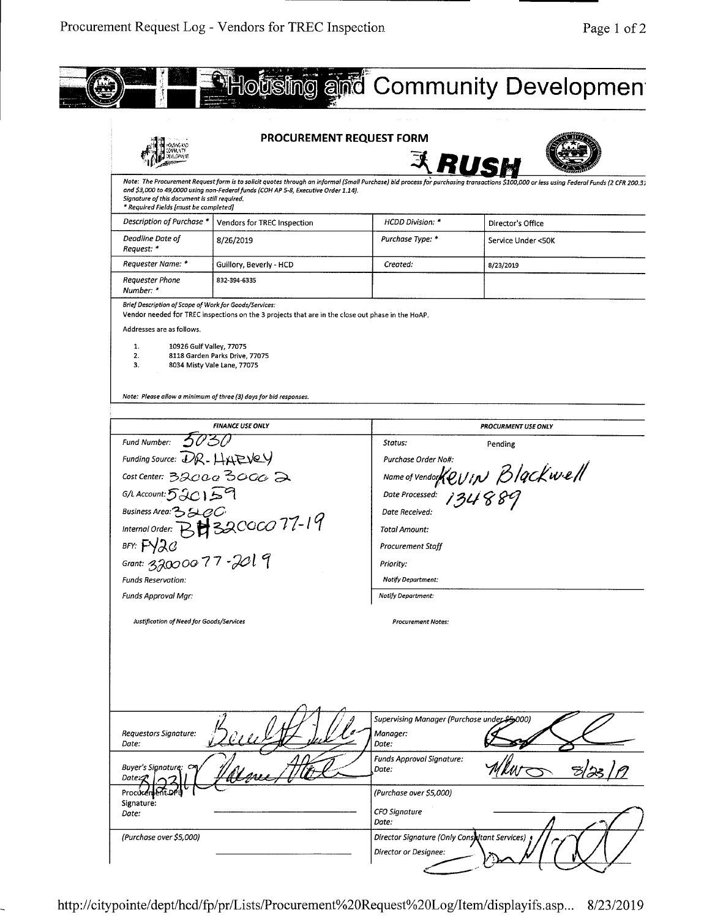

|                                                                                        | <b>PROCUREMENT REQUEST FORM</b>                                                                                                                                                                                                         | R                                                                                                       |                                                                                                                                                                                          |
|----------------------------------------------------------------------------------------|-----------------------------------------------------------------------------------------------------------------------------------------------------------------------------------------------------------------------------------------|---------------------------------------------------------------------------------------------------------|------------------------------------------------------------------------------------------------------------------------------------------------------------------------------------------|
| Signature of this document is still required.<br>* Required Fields [must be completed] | and \$3,000 to 49,0000 using non-Federal funds (COH AP 5-8, Executive Order 1.14).                                                                                                                                                      |                                                                                                         | Note: The Procurement Request form is to solicit quotes through an informal (Small Purchase) bid process for purchasing transactions \$100,000 or less using Federal Funds (2 CFR 200.3; |
| Description of Purchase *                                                              | Vendors for TREC Inspection                                                                                                                                                                                                             | <b>HCDD Division: *</b>                                                                                 | Director's Office                                                                                                                                                                        |
| Deadline Date of<br>Request: *                                                         | 8/26/2019                                                                                                                                                                                                                               | Purchase Type: *                                                                                        | Service Under <50K                                                                                                                                                                       |
| Requester Name: *                                                                      | Guillory, Beverly - HCD                                                                                                                                                                                                                 | Created:                                                                                                | 8/23/2019                                                                                                                                                                                |
| <b>Requester Phone</b><br>Number: *                                                    | 832-394-6335                                                                                                                                                                                                                            |                                                                                                         |                                                                                                                                                                                          |
| Addresses are as follows.<br>1.<br>10926 Gulf Valley, 77075<br>2.<br>3.                | Vendor needed for TREC inspections on the 3 projects that are in the close out phase in the HoAP.<br>8118 Garden Parks Drive, 77075<br>8034 Misty Vale Lane, 77075<br>Note: Please allow a minimum of three (3) days for bid responses. |                                                                                                         |                                                                                                                                                                                          |
|                                                                                        | <b>FINANCE USE ONLY</b>                                                                                                                                                                                                                 |                                                                                                         | PROCURMENT USE ONLY                                                                                                                                                                      |
| Fund Number:                                                                           |                                                                                                                                                                                                                                         | Status:                                                                                                 | Pending                                                                                                                                                                                  |
| Funding Source: $DR$ - $H$ $R$ $V$                                                     |                                                                                                                                                                                                                                         | Purchase Order No#:                                                                                     |                                                                                                                                                                                          |
| Cost Center: 32000 3000 2                                                              |                                                                                                                                                                                                                                         |                                                                                                         | Name of Vendor Kevin Blackwell                                                                                                                                                           |
| $G/L$ Account: $520159$                                                                |                                                                                                                                                                                                                                         | Date Processed:                                                                                         | 134889                                                                                                                                                                                   |
| Business Area: 33200                                                                   |                                                                                                                                                                                                                                         | Date Received:                                                                                          |                                                                                                                                                                                          |
|                                                                                        | Internal Order: BH 320000 77-19                                                                                                                                                                                                         | <b>Total Amount:</b>                                                                                    |                                                                                                                                                                                          |
| BFY: $F\sqrt{2}G$                                                                      |                                                                                                                                                                                                                                         | Procurement Staff                                                                                       |                                                                                                                                                                                          |
| Grant: 32000077-2019                                                                   |                                                                                                                                                                                                                                         |                                                                                                         |                                                                                                                                                                                          |
|                                                                                        |                                                                                                                                                                                                                                         | Priority:<br>Notify Department:                                                                         |                                                                                                                                                                                          |
| <b>Funds Reservation:</b>                                                              |                                                                                                                                                                                                                                         |                                                                                                         |                                                                                                                                                                                          |
| <b>Funds Approval Mgr:</b>                                                             |                                                                                                                                                                                                                                         | <b>Notify Department:</b>                                                                               |                                                                                                                                                                                          |
| Justification of Need for Goods/Services                                               |                                                                                                                                                                                                                                         | <b>Procurement Notes:</b>                                                                               |                                                                                                                                                                                          |
| Requestors Signature:<br>Date:<br>Buyer's Signature: CM                                |                                                                                                                                                                                                                                         | Supervising Manager (Purchase under \$5,000)<br>Manager:<br>Date:<br>Funds Approval Signature:<br>Date: |                                                                                                                                                                                          |
| Date:27<br>Procure<br>Signature:                                                       |                                                                                                                                                                                                                                         | (Purchase over \$5,000)                                                                                 |                                                                                                                                                                                          |
| Date:                                                                                  |                                                                                                                                                                                                                                         | CFO Signature<br>Date:                                                                                  |                                                                                                                                                                                          |
|                                                                                        |                                                                                                                                                                                                                                         |                                                                                                         |                                                                                                                                                                                          |
| (Purchase over \$5,000)                                                                |                                                                                                                                                                                                                                         | Director Signature (Only Consettant Services)                                                           |                                                                                                                                                                                          |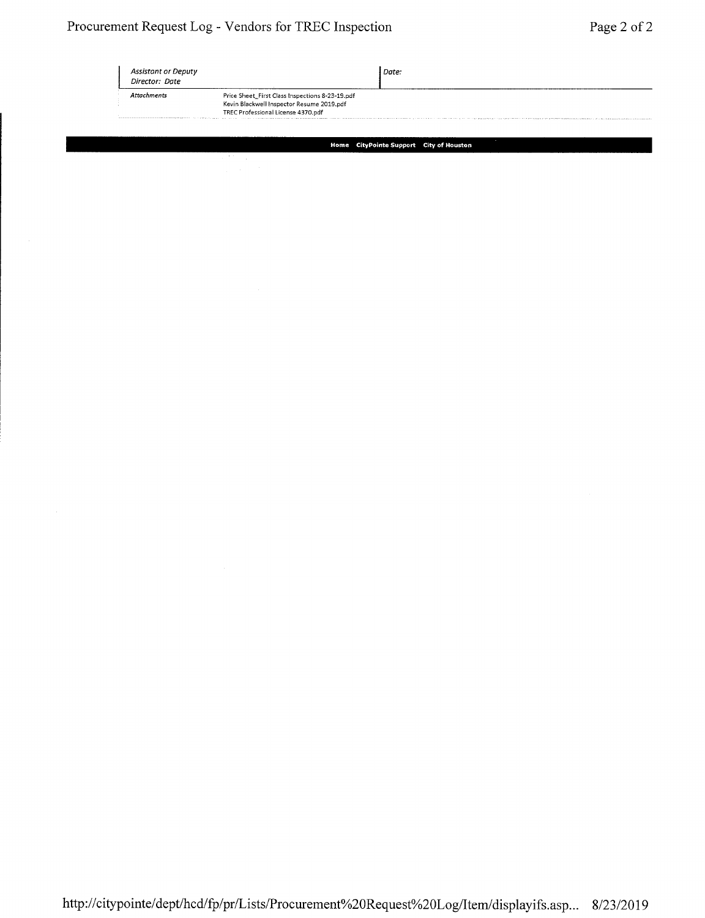| Assistant or Deputy<br>Director: Date |                                                                                              | Date: |
|---------------------------------------|----------------------------------------------------------------------------------------------|-------|
| Attachments                           | Price Sheet_First Class Inspections 8-23-19.pdf<br>Kevin Blackwell Inspector Resume 2019,pdf |       |
|                                       | TREC Professional License 4370.pdf                                                           |       |

**Home CityPointe Support City of Houston**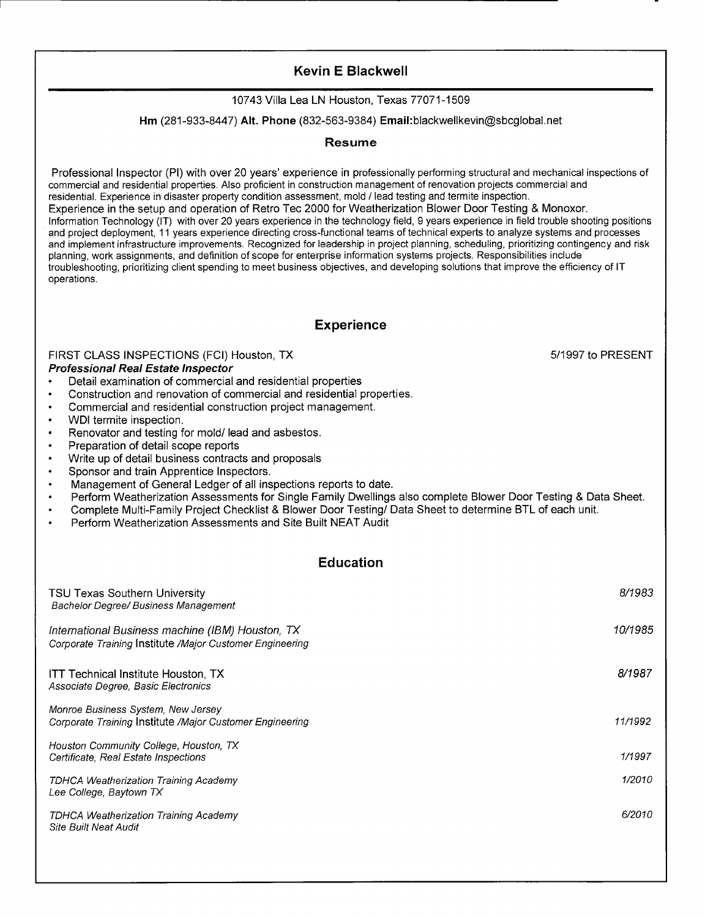# Kevin **E Blackwell**

#### 10743 Villa Lea LN Houston, Texas 77071-1509

#### **Hm** (281-933-8447) Alt. Phone (832-563-9384) Email:blackwellkevin@sbcglobal.net

#### **Resume**

Professional Inspector (P1) with over 20 years' experience in professionally performing structural and mechanical inspections of commercial and residential properties. Also proficient in construction management of renovation projects commercial and residential. Experience in disaster property condition assessment, mold / lead testing and termite inspection. Experience in the setup and operation of Retro Tec 2000 for Weatherization Blower Door Testing & Monoxor. Information Technology (IT) with over 20 years experience in the technology field, 9 years experience in field trouble shooting positions and project deployment, 11 years experience directing cross-functional teams of technical experts to analyze systems and processes and implement infrastructure improvements. Recognized for leadership in project planning, scheduling, prioritizing contingency and risk planning, work assignments, and definition of scope for enterprise information systems projects. Responsibilities include troubleshooting, prioritizing client spending to meet business objectives, and developing solutions that improve the efficiency of IT operations.

#### **Experience**

FIRST CLASS INSPECTIONS (FCI) Houston, TX 6 and the state of the state of the state of the state of the state of the state of the state of the state of the state of the state of the state of the state of the state of the s **Professional Real Estate Inspector** 

- Detail examination of commercial and residential properties
- Construction and renovation of commercial and residential properties.
- Commercial and residential construction project management.
- WDI termite inspection.
- Renovator and testing for mold/ lead and asbestos.
- Preparation of detail scope reports
- Write up of detail business contracts and proposals<br>• Sponsor and train Approptice Inspectors
- Sponsor and train Apprentice Inspectors.
- Management of General Ledger of all inspections reports to date.
- Perform Weatherization Assessments for Single Family Dwellings also complete Blower Door Testing & Data Sheet.
- Complete Multi-Family Project Checklist & Blower Door Testing/ Data Sheet to determine BTL of each unit.
- Perform Weatherization Assessments and Site Built NEAT Audit

#### **Education**

| TSU Texas Southern University<br><b>Bachelor Degree/ Business Management</b>                                 | 8/1983  |
|--------------------------------------------------------------------------------------------------------------|---------|
| International Business machine (IBM) Houston, TX<br>Corporate Training Institute /Major Customer Engineering | 10/1985 |
| <b>ITT Technical Institute Houston, TX</b><br>Associate Degree, Basic Electronics                            | 8/1987  |
| Monroe Business System, New Jersey<br>Corporate Training Institute /Major Customer Engineering               | 11/1992 |
| Houston Community College, Houston, TX<br>Certificate, Real Estate Inspections                               | 1/1997  |
| <b>TDHCA Weatherization Training Academy</b><br>Lee College, Baytown TX                                      | 1/2010  |
| TDHCA Weatherization Training Academy<br><b>Site Built Neat Audit</b>                                        | 6/2010  |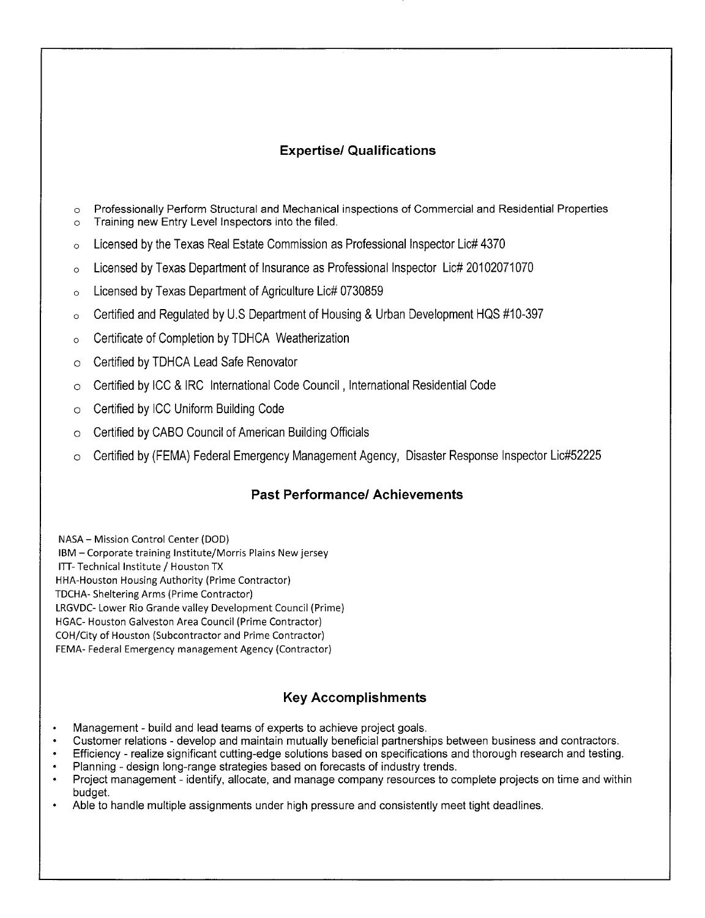# **Expertise! Qualifications**

- o Professionally Perform Structural and Mechanical inspections of Commercial and Residential Properties
- o Training new Entry Level Inspectors into the filed.
- o Licensed by the Texas Real Estate Commission as Professional Inspector Lic# 4370
- o Licensed by Texas Department of Insurance as Professional Inspector Lic# 20102071070
- o Licensed by Texas Department of Agriculture Lic# 0730859
- o Certified and Regulated by U.S Department of Housing & Urban Development HQS #10-397
- o Certificate of Completion by TDHCA Weatherization
- o Certified by TDHCA Lead Safe Renovator
- o Certified by ICC & IRC International Code Council, International Residential Code
- o Certified by ICC Uniform Building Code
- o Certified by CABO Council of American Building Officials
- o Certified by (FEMA) Federal Emergency Management Agency, Disaster Response Inspector Lic#52225

# **Past Performance! Achievements**

NASA — Mission Control Center (DOD) IBM — Corporate training Institute/Morris Plains New jersey ITT- Technical Institute / Houston TX HHA-Houston Housing Authority (Prime Contractor) TDCHA- Sheltering Arms (Prime Contractor) LRGVDC- Lower Rio Grande valley Development Council (Prime) HGAC- Houston Galveston Area Council (Prime Contractor) COH/City of Houston (Subcontractor and Prime Contractor) FEMA- Federal Emergency management Agency (Contractor)

# **Key Accomplishments**

- Management build and lead teams of experts to achieve project goals.
- Customer relations develop and maintain mutually beneficial partnerships between business and contractors.
- Efficiency realize significant cutting-edge solutions based on specifications and thorough research and testing.
- Planning design long-range strategies based on forecasts of industry trends.<br>• Project management identify allocate, and manage company resources to co
- Project management identify, allocate, and manage company resources to complete projects on time and within budget.
- Able to handle multiple assignments under high pressure and consistently meet tight deadlines.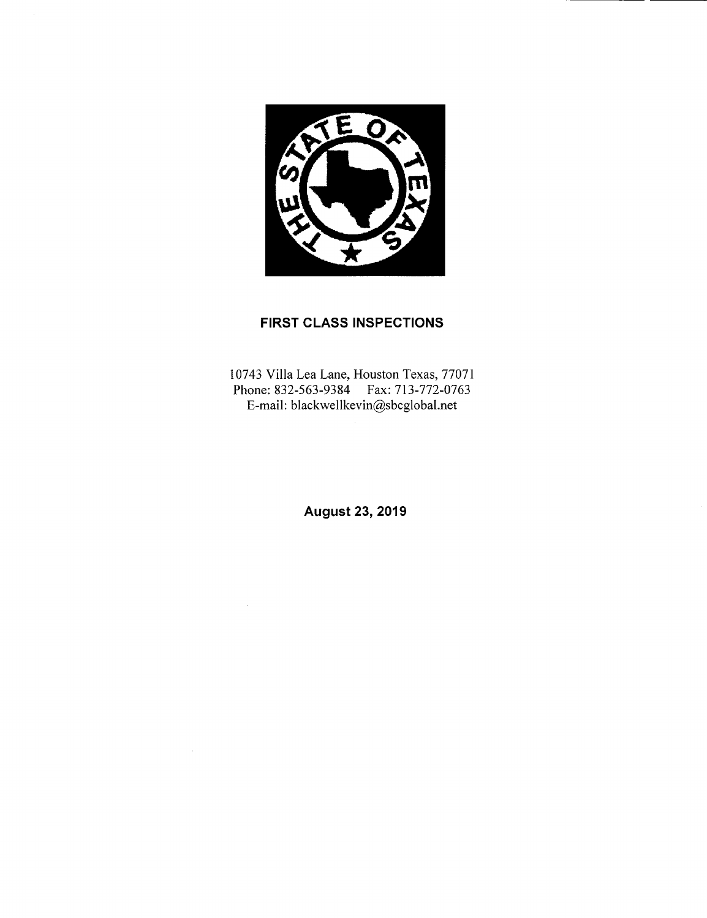

# **FIRST CLASS INSPECTIONS**

10743 Villa Lea Lane, Houston Texas, 77071 Phone: 832-563-9384 Fax: 713-772-0763 E-mail: blackwellkevin@sbcglobal.net

**August 23, 2019**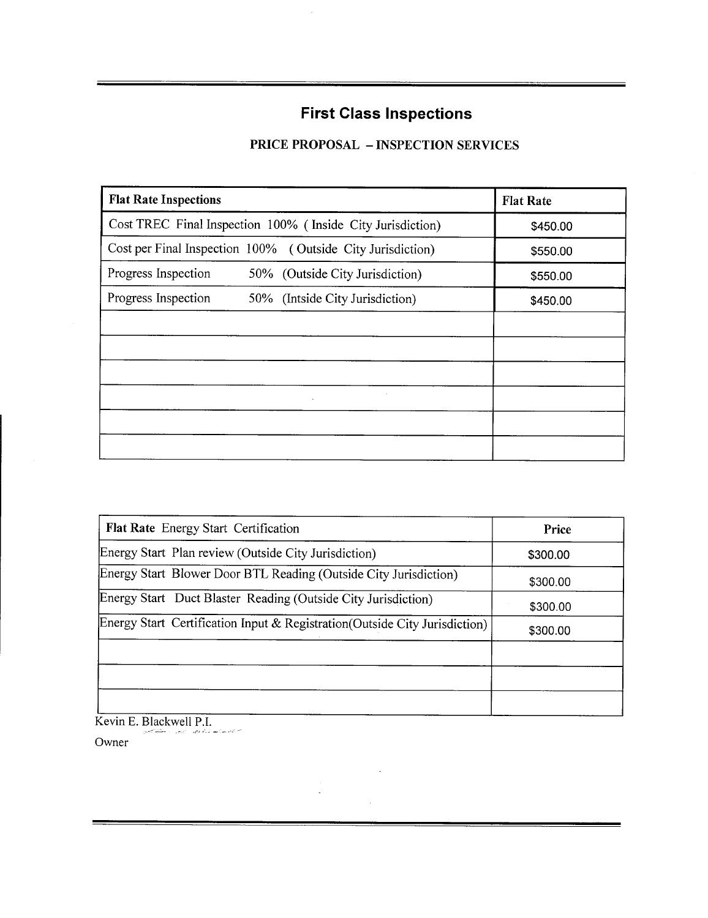# **First Class Inspections**

# **PRICE PROPOSAL** — **INSPECTION SERVICES**

| <b>Flat Rate Inspections</b>                               | <b>Flat Rate</b> |
|------------------------------------------------------------|------------------|
| Cost TREC Final Inspection 100% (Inside City Jurisdiction) | \$450.00         |
| Cost per Final Inspection 100% (Outside City Jurisdiction) | \$550.00         |
| Progress Inspection<br>50% (Outside City Jurisdiction)     | \$550.00         |
| Progress Inspection<br>50% (Intside City Jurisdiction)     | \$450.00         |
|                                                            |                  |
|                                                            |                  |
|                                                            |                  |
| $\sim$                                                     |                  |
|                                                            |                  |
|                                                            |                  |

| <b>Flat Rate</b> Energy Start Certification                                 | Price    |
|-----------------------------------------------------------------------------|----------|
| Energy Start Plan review (Outside City Jurisdiction)                        | \$300.00 |
| Energy Start Blower Door BTL Reading (Outside City Jurisdiction)            | \$300.00 |
| Energy Start Duct Blaster Reading (Outside City Jurisdiction)               | \$300.00 |
| Energy Start Certification Input & Registration (Outside City Jurisdiction) | \$300.00 |
|                                                                             |          |
|                                                                             |          |
|                                                                             |          |

 $\ddot{\phantom{a}}$ 

 $\bar{z}$ 

Kevin E. Blackwell P.I.

Owner